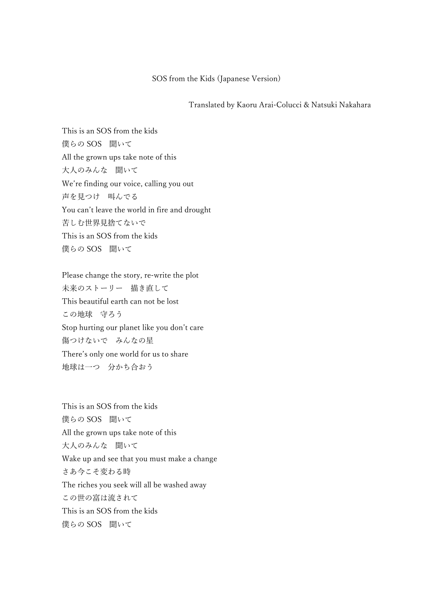## SOS from the Kids (Japanese Version)

Translated by Kaoru Arai-Colucci & Natsuki Nakahara

This is an SOS from the kids 僕らの SOS 聞いて All the grown ups take note of this 大人のみんな 聞いて We're finding our voice, calling you out 声を見つけ 叫んでる You can't leave the world in fire and drought 苦しむ世界見捨てないで This is an SOS from the kids 僕らの SOS 聞いて

Please change the story, re-write the plot 未来のストーリー 描き直して This beautiful earth can not be lost この地球 守ろう Stop hurting our planet like you don't care 傷つけないで みんなの星 There's only one world for us to share 地球は一つ 分かち合おう

This is an SOS from the kids 僕らの SOS 聞いて All the grown ups take note of this 大人のみんな 聞いて Wake up and see that you must make a change さあ今こそ変わる時 The riches you seek will all be washed away この世の富は流されて This is an SOS from the kids 僕らの SOS 聞いて